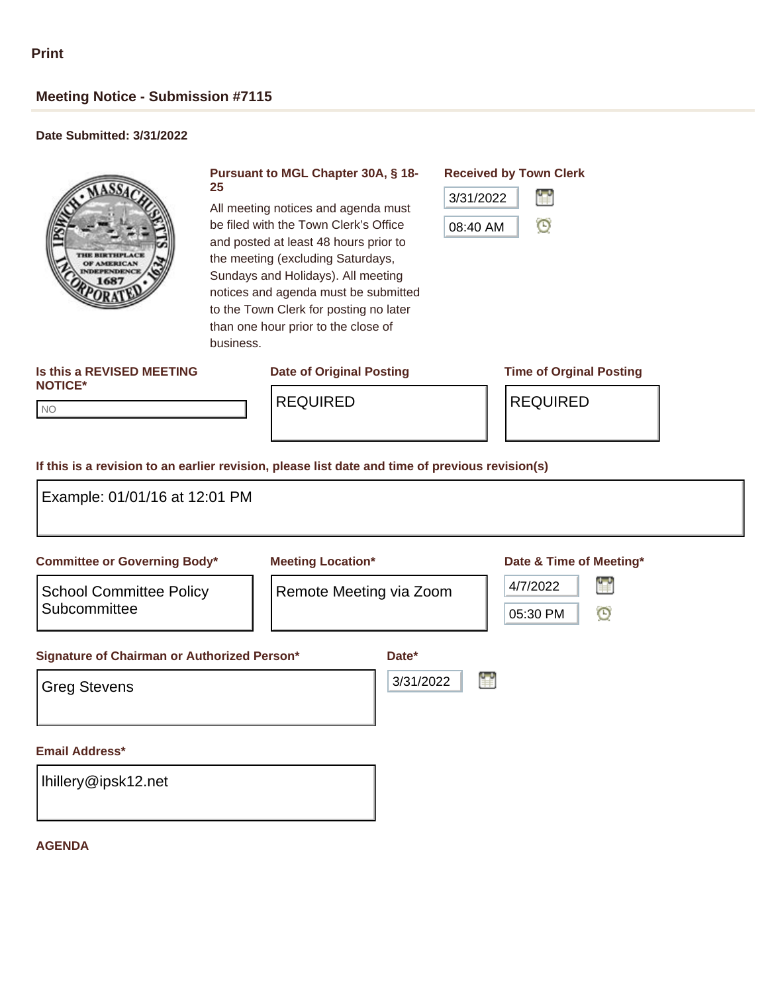# **Meeting Notice - Submission #7115**

## **Date Submitted: 3/31/2022**



#### **Pursuant to MGL Chapter 30A, § 18- 25**

All meeting notices and agenda must be filed with the Town Clerk's Office and posted at least 48 hours prior to the meeting (excluding Saturdays, Sundays and Holidays). All meeting notices and agenda must be submitted to the Town Clerk for posting no later than one hour prior to the close of business.

## **Received by Town Clerk**

| 3/31/2022 |  |
|-----------|--|
| 08:40 AM  |  |

#### **Is this a REVISED MEETING NOTICE\***

## **Date of Original Posting Time of Orginal Posting**

NO NO

REQUIRED REQUIRED

#### **If this is a revision to an earlier revision, please list date and time of previous revision(s)**

| Example: 01/01/16 at 12:01 PM                  |                          |                    |   |                                                |  |
|------------------------------------------------|--------------------------|--------------------|---|------------------------------------------------|--|
| <b>Committee or Governing Body*</b>            | <b>Meeting Location*</b> |                    |   | Date & Time of Meeting*                        |  |
| <b>School Committee Policy</b><br>Subcommittee | Remote Meeting via Zoom  |                    |   | 誾<br>4/7/2022<br>$\mathbf{\Theta}$<br>05:30 PM |  |
| Signature of Chairman or Authorized Person*    |                          | Date*<br>3/31/2022 | 鲁 |                                                |  |
| <b>Greg Stevens</b>                            |                          |                    |   |                                                |  |
| <b>Email Address*</b>                          |                          |                    |   |                                                |  |
| Ihillery@ipsk12.net                            |                          |                    |   |                                                |  |

### **AGENDA**